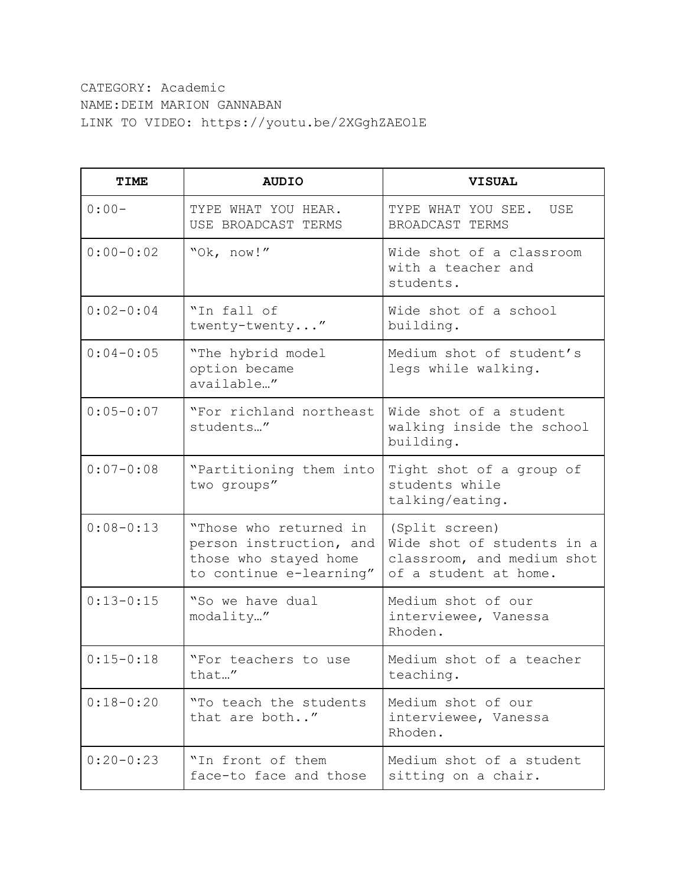CATEGORY: Academic NAME:DEIM MARION GANNABAN LINK TO VIDEO: https://youtu.be/2XGghZAEOlE

| TIME          | <b>AUDIO</b>                                                                                          | <b>VISUAL</b>                                                                                       |
|---------------|-------------------------------------------------------------------------------------------------------|-----------------------------------------------------------------------------------------------------|
| $0:00-$       | TYPE WHAT YOU HEAR.<br>USE BROADCAST TERMS                                                            | TYPE WHAT YOU SEE.<br>USE<br>BROADCAST TERMS                                                        |
| $0:00-0:02$   | "Ok, now!"                                                                                            | Wide shot of a classroom<br>with a teacher and<br>students.                                         |
| $0:02-0:04$   | "In fall of<br>twenty-twenty"                                                                         | Wide shot of a school<br>building.                                                                  |
| $0:04 - 0:05$ | "The hybrid model<br>option became<br>available"                                                      | Medium shot of student's<br>legs while walking.                                                     |
| $0:05 - 0:07$ | "For richland northeast<br>students"                                                                  | Wide shot of a student<br>walking inside the school<br>building.                                    |
| $0:07 - 0:08$ | "Partitioning them into<br>two groups"                                                                | Tight shot of a group of<br>students while<br>talking/eating.                                       |
| $0:08 - 0:13$ | "Those who returned in<br>person instruction, and<br>those who stayed home<br>to continue e-learning" | (Split screen)<br>Wide shot of students in a<br>classroom, and medium shot<br>of a student at home. |
| $0:13 - 0:15$ | "So we have dual<br>modality"                                                                         | Medium shot of our<br>interviewee, Vanessa<br>Rhoden.                                               |
| $0:15 - 0:18$ | "For teachers to use<br>that"                                                                         | Medium shot of a teacher<br>teaching.                                                               |
| $0:18-0:20$   | "To teach the students<br>that are both"                                                              | Medium shot of our<br>interviewee, Vanessa<br>Rhoden.                                               |
| $0:20-0:23$   | "In front of them<br>face-to face and those                                                           | Medium shot of a student<br>sitting on a chair.                                                     |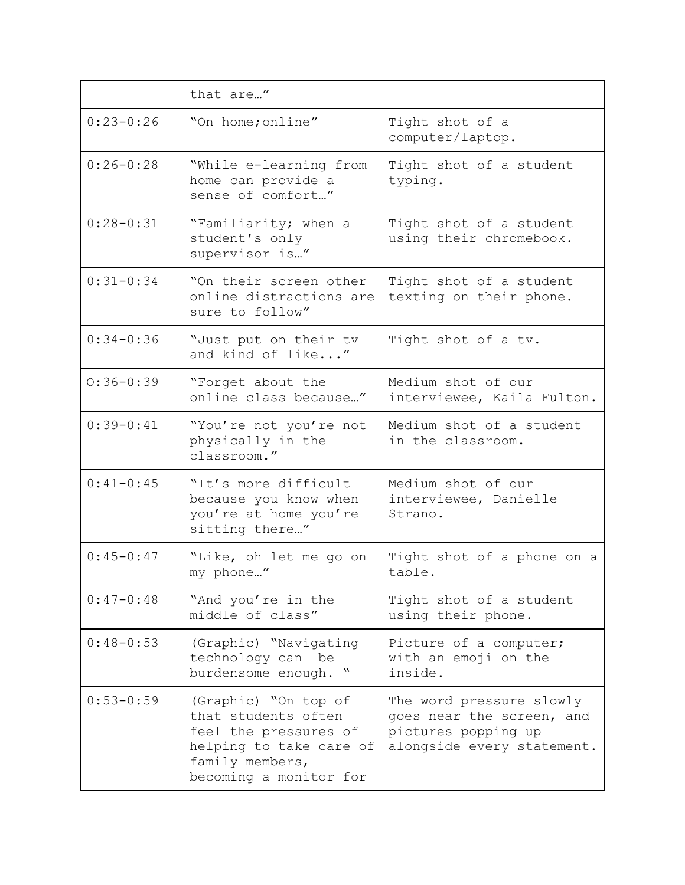|               | that are"                                                                                                                                    |                                                                                                            |
|---------------|----------------------------------------------------------------------------------------------------------------------------------------------|------------------------------------------------------------------------------------------------------------|
| $0:23 - 0:26$ | "On home; online"                                                                                                                            | Tight shot of a<br>computer/laptop.                                                                        |
| $0:26 - 0:28$ | "While e-learning from<br>home can provide a<br>sense of comfort"                                                                            | Tight shot of a student<br>typing.                                                                         |
| $0:28 - 0:31$ | "Familiarity; when a<br>student's only<br>supervisor is"                                                                                     | Tight shot of a student<br>using their chromebook.                                                         |
| $0:31-0:34$   | "On their screen other<br>online distractions are<br>sure to follow"                                                                         | Tight shot of a student<br>texting on their phone.                                                         |
| $0:34 - 0:36$ | "Just put on their tv<br>and kind of like"                                                                                                   | Tight shot of a tv.                                                                                        |
| $0:36 - 0:39$ | "Forget about the<br>online class because"                                                                                                   | Medium shot of our<br>interviewee, Kaila Fulton.                                                           |
| $0:39-0:41$   | "You're not you're not<br>physically in the<br>classroom."                                                                                   | Medium shot of a student<br>in the classroom.                                                              |
| $0:41 - 0:45$ | "It's more difficult<br>because you know when<br>you're at home you're<br>sitting there"                                                     | Medium shot of our<br>interviewee, Danielle<br>Strano.                                                     |
| $0:45-0:47$   | "Like, oh let me go on<br>my phone"                                                                                                          | Tight shot of a phone on a<br>table.                                                                       |
| $0:47-0:48$   | "And you're in the<br>middle of class"                                                                                                       | Tight shot of a student<br>using their phone.                                                              |
| $0:48 - 0:53$ | (Graphic) "Navigating<br>technology can be<br>burdensome enough. "                                                                           | Picture of a computer;<br>with an emoji on the<br>inside.                                                  |
| $0:53 - 0:59$ | (Graphic) "On top of<br>that students often<br>feel the pressures of<br>helping to take care of<br>family members,<br>becoming a monitor for | The word pressure slowly<br>goes near the screen, and<br>pictures popping up<br>alongside every statement. |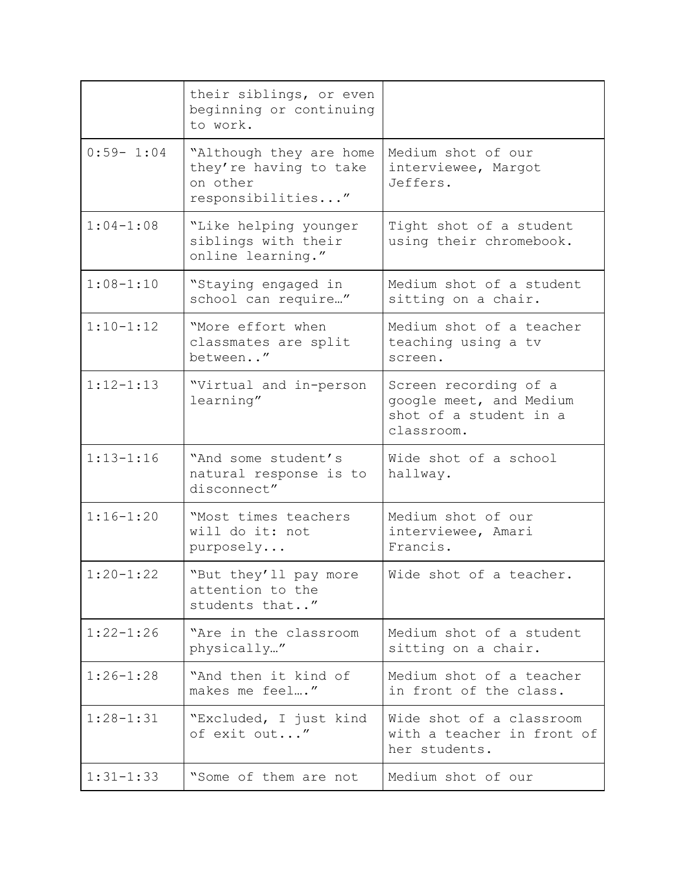|               | their siblings, or even<br>beginning or continuing<br>to work.                     |                                                                                          |
|---------------|------------------------------------------------------------------------------------|------------------------------------------------------------------------------------------|
| $0:59 - 1:04$ | "Although they are home<br>they're having to take<br>on other<br>responsibilities" | Medium shot of our<br>interviewee, Margot<br>Jeffers.                                    |
| $1:04-1:08$   | "Like helping younger<br>siblings with their<br>online learning."                  | Tight shot of a student<br>using their chromebook.                                       |
| $1:08 - 1:10$ | "Staying engaged in<br>school can require"                                         | Medium shot of a student<br>sitting on a chair.                                          |
| $1:10-1:12$   | "More effort when<br>classmates are split<br>between"                              | Medium shot of a teacher<br>teaching using a tv<br>screen.                               |
| $1:12 - 1:13$ | "Virtual and in-person<br>learning"                                                | Screen recording of a<br>google meet, and Medium<br>shot of a student in a<br>classroom. |
| $1:13 - 1:16$ | "And some student's<br>natural response is to<br>disconnect"                       | Wide shot of a school<br>hallway.                                                        |
| $1:16 - 1:20$ | "Most times teachers<br>will do it: not<br>purposely                               | Medium shot of our<br>interviewee, Amari<br>Francis.                                     |
| $1:20 - 1:22$ | "But they'll pay more<br>attention to the<br>students that"                        | Wide shot of a teacher.                                                                  |
| $1:22 - 1:26$ | "Are in the classroom<br>physically"                                               | Medium shot of a student<br>sitting on a chair.                                          |
| $1:26 - 1:28$ | "And then it kind of<br>makes me feel"                                             | Medium shot of a teacher<br>in front of the class.                                       |
| $1:28 - 1:31$ | "Excluded, I just kind<br>of exit out"                                             | Wide shot of a classroom<br>with a teacher in front of<br>her students.                  |
| $1:31 - 1:33$ | "Some of them are not                                                              | Medium shot of our                                                                       |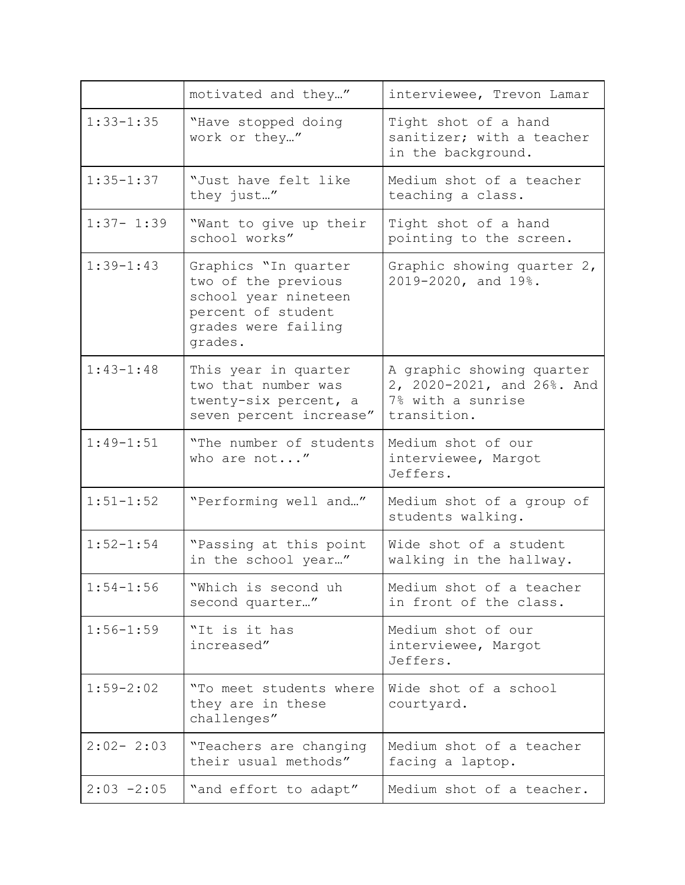|               | motivated and they"                                                                                                         | interviewee, Trevon Lamar                                                                   |
|---------------|-----------------------------------------------------------------------------------------------------------------------------|---------------------------------------------------------------------------------------------|
| $1:33 - 1:35$ | "Have stopped doing<br>work or they"                                                                                        | Tight shot of a hand<br>sanitizer; with a teacher<br>in the background.                     |
| $1:35 - 1:37$ | "Just have felt like<br>they just"                                                                                          | Medium shot of a teacher<br>teaching a class.                                               |
| $1:37 - 1:39$ | "Want to give up their<br>school works"                                                                                     | Tight shot of a hand<br>pointing to the screen.                                             |
| $1:39-1:43$   | Graphics "In quarter<br>two of the previous<br>school year nineteen<br>percent of student<br>grades were failing<br>grades. | Graphic showing quarter 2,<br>2019-2020, and 19%.                                           |
| $1:43 - 1:48$ | This year in quarter<br>two that number was<br>twenty-six percent, a<br>seven percent increase"                             | A graphic showing quarter<br>2, 2020-2021, and 26%. And<br>7% with a sunrise<br>transition. |
| $1:49 - 1:51$ | "The number of students<br>who are not"                                                                                     | Medium shot of our<br>interviewee, Margot<br>Jeffers.                                       |
| $1:51 - 1:52$ | "Performing well and"                                                                                                       | Medium shot of a group of<br>students walking.                                              |
| $1:52 - 1:54$ | "Passing at this point<br>in the school year"                                                                               | Wide shot of a student<br>walking in the hallway.                                           |
| $1:54 - 1:56$ | "Which is second uh<br>second quarter"                                                                                      | Medium shot of a teacher<br>in front of the class.                                          |
| $1:56 - 1:59$ | "It is it has<br>increased"                                                                                                 | Medium shot of our<br>interviewee, Margot<br>Jeffers.                                       |
| $1:59 - 2:02$ | "To meet students where<br>they are in these<br>challenges"                                                                 | Wide shot of a school<br>courtyard.                                                         |
| $2:02 - 2:03$ | "Teachers are changing<br>their usual methods"                                                                              | Medium shot of a teacher<br>facing a laptop.                                                |
| $2:03 - 2:05$ | "and effort to adapt"                                                                                                       | Medium shot of a teacher.                                                                   |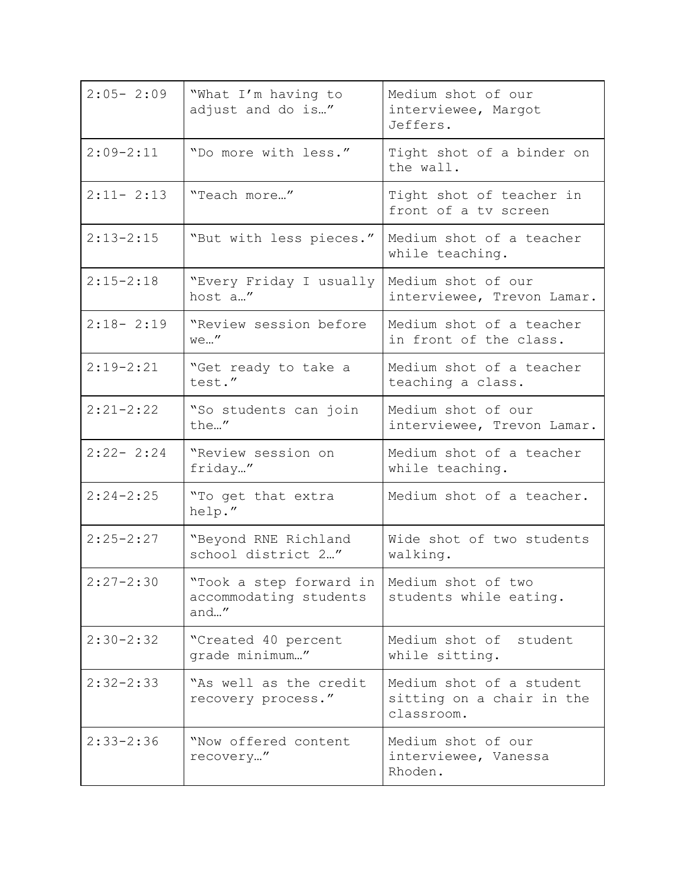| $2:05 - 2:09$ | "What I'm having to<br>adjust and do is"                                       | Medium shot of our<br>interviewee, Margot<br>Jeffers.               |
|---------------|--------------------------------------------------------------------------------|---------------------------------------------------------------------|
| $2:09 - 2:11$ | "Do more with less."                                                           | Tight shot of a binder on<br>the wall.                              |
| $2:11 - 2:13$ | "Teach more"                                                                   | Tight shot of teacher in<br>front of a tv screen                    |
| $2:13 - 2:15$ | "But with less pieces."                                                        | Medium shot of a teacher<br>while teaching.                         |
| $2:15 - 2:18$ | "Every Friday I usually<br>host a"                                             | Medium shot of our<br>interviewee, Trevon Lamar.                    |
| $2:18 - 2:19$ | "Review session before<br>we"                                                  | Medium shot of a teacher<br>in front of the class.                  |
| $2:19 - 2:21$ | "Get ready to take a<br>test."                                                 | Medium shot of a teacher<br>teaching a class.                       |
| $2:21-2:22$   | "So students can join<br>the"                                                  | Medium shot of our<br>interviewee, Trevon Lamar.                    |
| $2:22 - 2:24$ | "Review session on<br>friday"                                                  | Medium shot of a teacher<br>while teaching.                         |
| $2:24 - 2:25$ | "To get that extra<br>help."                                                   | Medium shot of a teacher.                                           |
| $2:25 - 2:27$ | "Beyond RNE Richland<br>school district 2"                                     | Wide shot of two students<br>walking.                               |
| $2:27 - 2:30$ | "Took a step forward in   Medium shot of two<br>accommodating students<br>and" | students while eating.                                              |
| $2:30 - 2:32$ | "Created 40 percent<br>grade minimum"                                          | Medium shot of student<br>while sitting.                            |
| $2:32-2:33$   | "As well as the credit<br>recovery process."                                   | Medium shot of a student<br>sitting on a chair in the<br>classroom. |
| $2:33 - 2:36$ | "Now offered content<br>recovery"                                              | Medium shot of our<br>interviewee, Vanessa<br>Rhoden.               |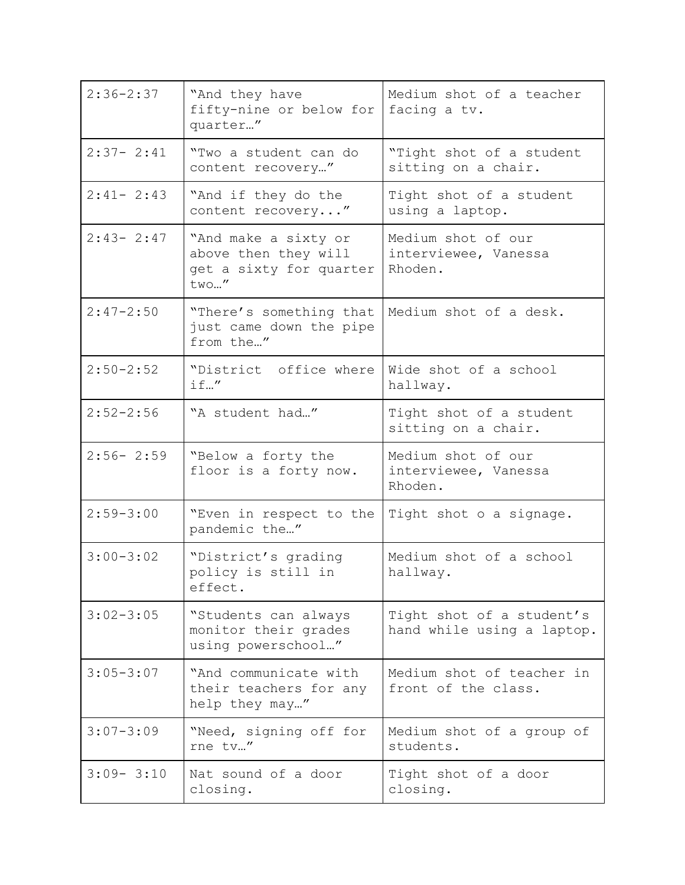| $2:36 - 2:37$ | "And they have<br>fifty-nine or below for<br>quarter"                           | Medium shot of a teacher<br>facing a tv.                |
|---------------|---------------------------------------------------------------------------------|---------------------------------------------------------|
| $2:37 - 2:41$ | "Two a student can do<br>content recovery"                                      | "Tight shot of a student<br>sitting on a chair.         |
| $2:41 - 2:43$ | "And if they do the<br>content recovery"                                        | Tight shot of a student<br>using a laptop.              |
| $2:43 - 2:47$ | "And make a sixty or<br>above then they will<br>get a sixty for quarter<br>two" | Medium shot of our<br>interviewee, Vanessa<br>Rhoden.   |
| $2:47 - 2:50$ | "There's something that<br>just came down the pipe<br>from the"                 | Medium shot of a desk.                                  |
| $2:50 - 2:52$ | "District office where<br>if"                                                   | Wide shot of a school<br>hallway.                       |
| $2:52 - 2:56$ | "A student had"                                                                 | Tight shot of a student<br>sitting on a chair.          |
| $2:56 - 2:59$ | "Below a forty the<br>floor is a forty now.                                     | Medium shot of our<br>interviewee, Vanessa<br>Rhoden.   |
| $2:59 - 3:00$ | "Even in respect to the<br>pandemic the"                                        | Tight shot o a signage.                                 |
| $3:00-3:02$   | "District's grading<br>policy is still in<br>effect.                            | Medium shot of a school<br>hallway.                     |
| $3:02 - 3:05$ | "Students can always<br>monitor their grades<br>using powerschool"              | Tight shot of a student's<br>hand while using a laptop. |
| $3:05 - 3:07$ | "And communicate with<br>their teachers for any<br>help they may"               | Medium shot of teacher in<br>front of the class.        |
| $3:07 - 3:09$ | "Need, signing off for<br>rne tv"                                               | Medium shot of a group of<br>students.                  |
| $3:09 - 3:10$ | Nat sound of a door<br>closing.                                                 | Tight shot of a door<br>closing.                        |